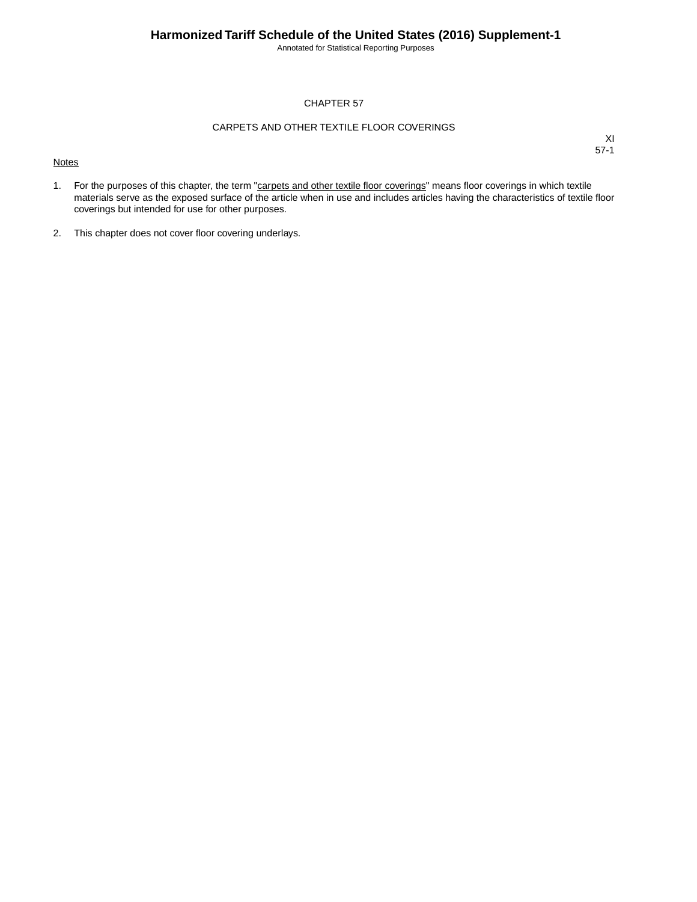Annotated for Statistical Reporting Purposes

#### CHAPTER 57

#### CARPETS AND OTHER TEXTILE FLOOR COVERINGS

#### **Notes**

- 1. For the purposes of this chapter, the term "carpets and other textile floor coverings" means floor coverings in which textile materials serve as the exposed surface of the article when in use and includes articles having the characteristics of textile floor coverings but intended for use for other purposes.
- 2. This chapter does not cover floor covering underlays.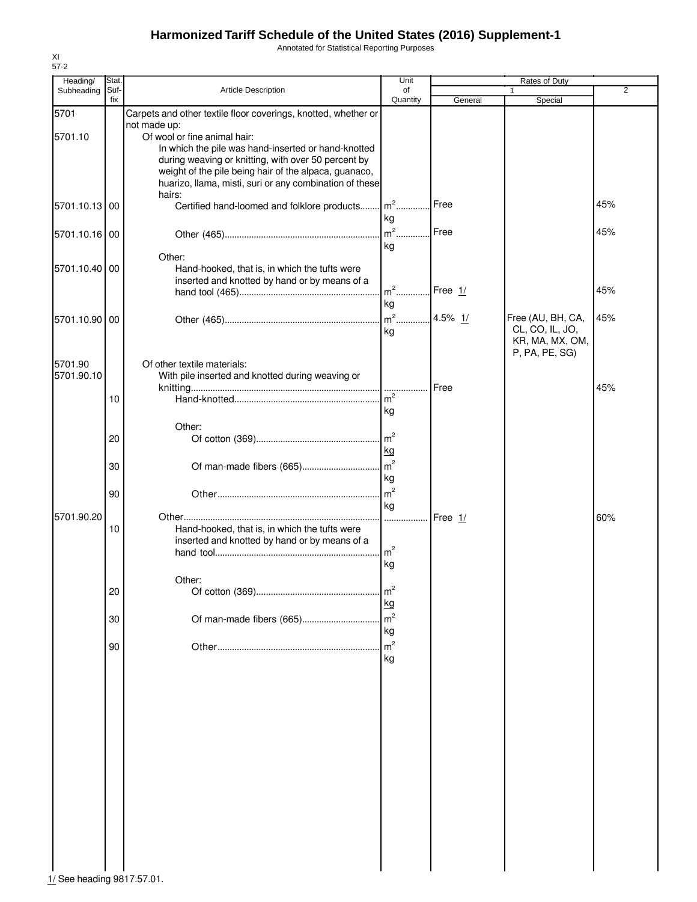Annotated for Statistical Reporting Purposes

| Quantity<br>fix<br>General<br>Special<br>5701<br>Carpets and other textile floor coverings, knotted, whether or<br>not made up:<br>Of wool or fine animal hair:<br>5701.10<br>In which the pile was hand-inserted or hand-knotted<br>during weaving or knitting, with over 50 percent by<br>weight of the pile being hair of the alpaca, guanaco,<br>huarizo, llama, misti, suri or any combination of these<br>hairs:<br>$m2$<br>45%<br>Free<br>Certified hand-loomed and folklore products<br>5701.10.13 00<br>kg<br>$m2$<br>Free<br>45%<br>5701.10.16 00<br>kg<br>Other:<br>5701.10.40 00<br>Hand-hooked, that is, in which the tufts were<br>inserted and knotted by hand or by means of a<br>$m^2$<br>45%<br>Free 1/<br>kg<br>$m^2$<br>4.5% 1/<br>Free (AU, BH, CA,<br>45%<br>5701.10.90 00<br>CL, CO, IL, JO,<br>kg<br>KR, MA, MX, OM,<br>P, PA, PE, SG)<br>5701.90<br>Of other textile materials:<br>With pile inserted and knotted during weaving or<br>5701.90.10<br>Free<br>45%<br>m <sup>2</sup><br>10<br>kg<br>Other:<br>m <sup>2</sup><br>20<br>kg<br>m <sup>2</sup><br>30<br>kg<br>m <sup>2</sup><br>90<br>kg<br>5701.90.20<br>Free 1/<br>60%<br>.<br>Hand-hooked, that is, in which the tufts were<br>10<br>inserted and knotted by hand or by means of a<br>m <sup>2</sup><br>kg<br>Other:<br>m <sup>2</sup><br>20<br>kg<br>m <sup>2</sup><br>Of man-made fibers (665)<br>30<br>kg<br>m <sup>2</sup><br>90<br>kg<br>1/ See heading 9817.57.01. | Heading/   | Stat. |                     | Unit | <b>Rates of Duty</b> |                |
|----------------------------------------------------------------------------------------------------------------------------------------------------------------------------------------------------------------------------------------------------------------------------------------------------------------------------------------------------------------------------------------------------------------------------------------------------------------------------------------------------------------------------------------------------------------------------------------------------------------------------------------------------------------------------------------------------------------------------------------------------------------------------------------------------------------------------------------------------------------------------------------------------------------------------------------------------------------------------------------------------------------------------------------------------------------------------------------------------------------------------------------------------------------------------------------------------------------------------------------------------------------------------------------------------------------------------------------------------------------------------------------------------------------------------------------------------------------|------------|-------|---------------------|------|----------------------|----------------|
|                                                                                                                                                                                                                                                                                                                                                                                                                                                                                                                                                                                                                                                                                                                                                                                                                                                                                                                                                                                                                                                                                                                                                                                                                                                                                                                                                                                                                                                                | Subheading | Suf-  | Article Description | of   | $\mathbf{1}$         | $\overline{2}$ |
|                                                                                                                                                                                                                                                                                                                                                                                                                                                                                                                                                                                                                                                                                                                                                                                                                                                                                                                                                                                                                                                                                                                                                                                                                                                                                                                                                                                                                                                                |            |       |                     |      |                      |                |
|                                                                                                                                                                                                                                                                                                                                                                                                                                                                                                                                                                                                                                                                                                                                                                                                                                                                                                                                                                                                                                                                                                                                                                                                                                                                                                                                                                                                                                                                |            |       |                     |      |                      |                |
|                                                                                                                                                                                                                                                                                                                                                                                                                                                                                                                                                                                                                                                                                                                                                                                                                                                                                                                                                                                                                                                                                                                                                                                                                                                                                                                                                                                                                                                                |            |       |                     |      |                      |                |
|                                                                                                                                                                                                                                                                                                                                                                                                                                                                                                                                                                                                                                                                                                                                                                                                                                                                                                                                                                                                                                                                                                                                                                                                                                                                                                                                                                                                                                                                |            |       |                     |      |                      |                |
|                                                                                                                                                                                                                                                                                                                                                                                                                                                                                                                                                                                                                                                                                                                                                                                                                                                                                                                                                                                                                                                                                                                                                                                                                                                                                                                                                                                                                                                                |            |       |                     |      |                      |                |
|                                                                                                                                                                                                                                                                                                                                                                                                                                                                                                                                                                                                                                                                                                                                                                                                                                                                                                                                                                                                                                                                                                                                                                                                                                                                                                                                                                                                                                                                |            |       |                     |      |                      |                |
|                                                                                                                                                                                                                                                                                                                                                                                                                                                                                                                                                                                                                                                                                                                                                                                                                                                                                                                                                                                                                                                                                                                                                                                                                                                                                                                                                                                                                                                                |            |       |                     |      |                      |                |
|                                                                                                                                                                                                                                                                                                                                                                                                                                                                                                                                                                                                                                                                                                                                                                                                                                                                                                                                                                                                                                                                                                                                                                                                                                                                                                                                                                                                                                                                |            |       |                     |      |                      |                |
|                                                                                                                                                                                                                                                                                                                                                                                                                                                                                                                                                                                                                                                                                                                                                                                                                                                                                                                                                                                                                                                                                                                                                                                                                                                                                                                                                                                                                                                                |            |       |                     |      |                      |                |
|                                                                                                                                                                                                                                                                                                                                                                                                                                                                                                                                                                                                                                                                                                                                                                                                                                                                                                                                                                                                                                                                                                                                                                                                                                                                                                                                                                                                                                                                |            |       |                     |      |                      |                |
|                                                                                                                                                                                                                                                                                                                                                                                                                                                                                                                                                                                                                                                                                                                                                                                                                                                                                                                                                                                                                                                                                                                                                                                                                                                                                                                                                                                                                                                                |            |       |                     |      |                      |                |
|                                                                                                                                                                                                                                                                                                                                                                                                                                                                                                                                                                                                                                                                                                                                                                                                                                                                                                                                                                                                                                                                                                                                                                                                                                                                                                                                                                                                                                                                |            |       |                     |      |                      |                |
|                                                                                                                                                                                                                                                                                                                                                                                                                                                                                                                                                                                                                                                                                                                                                                                                                                                                                                                                                                                                                                                                                                                                                                                                                                                                                                                                                                                                                                                                |            |       |                     |      |                      |                |
|                                                                                                                                                                                                                                                                                                                                                                                                                                                                                                                                                                                                                                                                                                                                                                                                                                                                                                                                                                                                                                                                                                                                                                                                                                                                                                                                                                                                                                                                |            |       |                     |      |                      |                |
|                                                                                                                                                                                                                                                                                                                                                                                                                                                                                                                                                                                                                                                                                                                                                                                                                                                                                                                                                                                                                                                                                                                                                                                                                                                                                                                                                                                                                                                                |            |       |                     |      |                      |                |
|                                                                                                                                                                                                                                                                                                                                                                                                                                                                                                                                                                                                                                                                                                                                                                                                                                                                                                                                                                                                                                                                                                                                                                                                                                                                                                                                                                                                                                                                |            |       |                     |      |                      |                |
|                                                                                                                                                                                                                                                                                                                                                                                                                                                                                                                                                                                                                                                                                                                                                                                                                                                                                                                                                                                                                                                                                                                                                                                                                                                                                                                                                                                                                                                                |            |       |                     |      |                      |                |
|                                                                                                                                                                                                                                                                                                                                                                                                                                                                                                                                                                                                                                                                                                                                                                                                                                                                                                                                                                                                                                                                                                                                                                                                                                                                                                                                                                                                                                                                |            |       |                     |      |                      |                |
|                                                                                                                                                                                                                                                                                                                                                                                                                                                                                                                                                                                                                                                                                                                                                                                                                                                                                                                                                                                                                                                                                                                                                                                                                                                                                                                                                                                                                                                                |            |       |                     |      |                      |                |
|                                                                                                                                                                                                                                                                                                                                                                                                                                                                                                                                                                                                                                                                                                                                                                                                                                                                                                                                                                                                                                                                                                                                                                                                                                                                                                                                                                                                                                                                |            |       |                     |      |                      |                |
|                                                                                                                                                                                                                                                                                                                                                                                                                                                                                                                                                                                                                                                                                                                                                                                                                                                                                                                                                                                                                                                                                                                                                                                                                                                                                                                                                                                                                                                                |            |       |                     |      |                      |                |
|                                                                                                                                                                                                                                                                                                                                                                                                                                                                                                                                                                                                                                                                                                                                                                                                                                                                                                                                                                                                                                                                                                                                                                                                                                                                                                                                                                                                                                                                |            |       |                     |      |                      |                |
|                                                                                                                                                                                                                                                                                                                                                                                                                                                                                                                                                                                                                                                                                                                                                                                                                                                                                                                                                                                                                                                                                                                                                                                                                                                                                                                                                                                                                                                                |            |       |                     |      |                      |                |
|                                                                                                                                                                                                                                                                                                                                                                                                                                                                                                                                                                                                                                                                                                                                                                                                                                                                                                                                                                                                                                                                                                                                                                                                                                                                                                                                                                                                                                                                |            |       |                     |      |                      |                |
|                                                                                                                                                                                                                                                                                                                                                                                                                                                                                                                                                                                                                                                                                                                                                                                                                                                                                                                                                                                                                                                                                                                                                                                                                                                                                                                                                                                                                                                                |            |       |                     |      |                      |                |
|                                                                                                                                                                                                                                                                                                                                                                                                                                                                                                                                                                                                                                                                                                                                                                                                                                                                                                                                                                                                                                                                                                                                                                                                                                                                                                                                                                                                                                                                |            |       |                     |      |                      |                |
|                                                                                                                                                                                                                                                                                                                                                                                                                                                                                                                                                                                                                                                                                                                                                                                                                                                                                                                                                                                                                                                                                                                                                                                                                                                                                                                                                                                                                                                                |            |       |                     |      |                      |                |
|                                                                                                                                                                                                                                                                                                                                                                                                                                                                                                                                                                                                                                                                                                                                                                                                                                                                                                                                                                                                                                                                                                                                                                                                                                                                                                                                                                                                                                                                |            |       |                     |      |                      |                |
|                                                                                                                                                                                                                                                                                                                                                                                                                                                                                                                                                                                                                                                                                                                                                                                                                                                                                                                                                                                                                                                                                                                                                                                                                                                                                                                                                                                                                                                                |            |       |                     |      |                      |                |
|                                                                                                                                                                                                                                                                                                                                                                                                                                                                                                                                                                                                                                                                                                                                                                                                                                                                                                                                                                                                                                                                                                                                                                                                                                                                                                                                                                                                                                                                |            |       |                     |      |                      |                |
|                                                                                                                                                                                                                                                                                                                                                                                                                                                                                                                                                                                                                                                                                                                                                                                                                                                                                                                                                                                                                                                                                                                                                                                                                                                                                                                                                                                                                                                                |            |       |                     |      |                      |                |
|                                                                                                                                                                                                                                                                                                                                                                                                                                                                                                                                                                                                                                                                                                                                                                                                                                                                                                                                                                                                                                                                                                                                                                                                                                                                                                                                                                                                                                                                |            |       |                     |      |                      |                |
|                                                                                                                                                                                                                                                                                                                                                                                                                                                                                                                                                                                                                                                                                                                                                                                                                                                                                                                                                                                                                                                                                                                                                                                                                                                                                                                                                                                                                                                                |            |       |                     |      |                      |                |
|                                                                                                                                                                                                                                                                                                                                                                                                                                                                                                                                                                                                                                                                                                                                                                                                                                                                                                                                                                                                                                                                                                                                                                                                                                                                                                                                                                                                                                                                |            |       |                     |      |                      |                |
|                                                                                                                                                                                                                                                                                                                                                                                                                                                                                                                                                                                                                                                                                                                                                                                                                                                                                                                                                                                                                                                                                                                                                                                                                                                                                                                                                                                                                                                                |            |       |                     |      |                      |                |
|                                                                                                                                                                                                                                                                                                                                                                                                                                                                                                                                                                                                                                                                                                                                                                                                                                                                                                                                                                                                                                                                                                                                                                                                                                                                                                                                                                                                                                                                |            |       |                     |      |                      |                |
|                                                                                                                                                                                                                                                                                                                                                                                                                                                                                                                                                                                                                                                                                                                                                                                                                                                                                                                                                                                                                                                                                                                                                                                                                                                                                                                                                                                                                                                                |            |       |                     |      |                      |                |
|                                                                                                                                                                                                                                                                                                                                                                                                                                                                                                                                                                                                                                                                                                                                                                                                                                                                                                                                                                                                                                                                                                                                                                                                                                                                                                                                                                                                                                                                |            |       |                     |      |                      |                |
|                                                                                                                                                                                                                                                                                                                                                                                                                                                                                                                                                                                                                                                                                                                                                                                                                                                                                                                                                                                                                                                                                                                                                                                                                                                                                                                                                                                                                                                                |            |       |                     |      |                      |                |
|                                                                                                                                                                                                                                                                                                                                                                                                                                                                                                                                                                                                                                                                                                                                                                                                                                                                                                                                                                                                                                                                                                                                                                                                                                                                                                                                                                                                                                                                |            |       |                     |      |                      |                |
|                                                                                                                                                                                                                                                                                                                                                                                                                                                                                                                                                                                                                                                                                                                                                                                                                                                                                                                                                                                                                                                                                                                                                                                                                                                                                                                                                                                                                                                                |            |       |                     |      |                      |                |
|                                                                                                                                                                                                                                                                                                                                                                                                                                                                                                                                                                                                                                                                                                                                                                                                                                                                                                                                                                                                                                                                                                                                                                                                                                                                                                                                                                                                                                                                |            |       |                     |      |                      |                |
|                                                                                                                                                                                                                                                                                                                                                                                                                                                                                                                                                                                                                                                                                                                                                                                                                                                                                                                                                                                                                                                                                                                                                                                                                                                                                                                                                                                                                                                                |            |       |                     |      |                      |                |
|                                                                                                                                                                                                                                                                                                                                                                                                                                                                                                                                                                                                                                                                                                                                                                                                                                                                                                                                                                                                                                                                                                                                                                                                                                                                                                                                                                                                                                                                |            |       |                     |      |                      |                |
|                                                                                                                                                                                                                                                                                                                                                                                                                                                                                                                                                                                                                                                                                                                                                                                                                                                                                                                                                                                                                                                                                                                                                                                                                                                                                                                                                                                                                                                                |            |       |                     |      |                      |                |
|                                                                                                                                                                                                                                                                                                                                                                                                                                                                                                                                                                                                                                                                                                                                                                                                                                                                                                                                                                                                                                                                                                                                                                                                                                                                                                                                                                                                                                                                |            |       |                     |      |                      |                |
|                                                                                                                                                                                                                                                                                                                                                                                                                                                                                                                                                                                                                                                                                                                                                                                                                                                                                                                                                                                                                                                                                                                                                                                                                                                                                                                                                                                                                                                                |            |       |                     |      |                      |                |
|                                                                                                                                                                                                                                                                                                                                                                                                                                                                                                                                                                                                                                                                                                                                                                                                                                                                                                                                                                                                                                                                                                                                                                                                                                                                                                                                                                                                                                                                |            |       |                     |      |                      |                |
|                                                                                                                                                                                                                                                                                                                                                                                                                                                                                                                                                                                                                                                                                                                                                                                                                                                                                                                                                                                                                                                                                                                                                                                                                                                                                                                                                                                                                                                                |            |       |                     |      |                      |                |
|                                                                                                                                                                                                                                                                                                                                                                                                                                                                                                                                                                                                                                                                                                                                                                                                                                                                                                                                                                                                                                                                                                                                                                                                                                                                                                                                                                                                                                                                |            |       |                     |      |                      |                |
|                                                                                                                                                                                                                                                                                                                                                                                                                                                                                                                                                                                                                                                                                                                                                                                                                                                                                                                                                                                                                                                                                                                                                                                                                                                                                                                                                                                                                                                                |            |       |                     |      |                      |                |
|                                                                                                                                                                                                                                                                                                                                                                                                                                                                                                                                                                                                                                                                                                                                                                                                                                                                                                                                                                                                                                                                                                                                                                                                                                                                                                                                                                                                                                                                |            |       |                     |      |                      |                |
|                                                                                                                                                                                                                                                                                                                                                                                                                                                                                                                                                                                                                                                                                                                                                                                                                                                                                                                                                                                                                                                                                                                                                                                                                                                                                                                                                                                                                                                                |            |       |                     |      |                      |                |
|                                                                                                                                                                                                                                                                                                                                                                                                                                                                                                                                                                                                                                                                                                                                                                                                                                                                                                                                                                                                                                                                                                                                                                                                                                                                                                                                                                                                                                                                |            |       |                     |      |                      |                |
|                                                                                                                                                                                                                                                                                                                                                                                                                                                                                                                                                                                                                                                                                                                                                                                                                                                                                                                                                                                                                                                                                                                                                                                                                                                                                                                                                                                                                                                                |            |       |                     |      |                      |                |
|                                                                                                                                                                                                                                                                                                                                                                                                                                                                                                                                                                                                                                                                                                                                                                                                                                                                                                                                                                                                                                                                                                                                                                                                                                                                                                                                                                                                                                                                |            |       |                     |      |                      |                |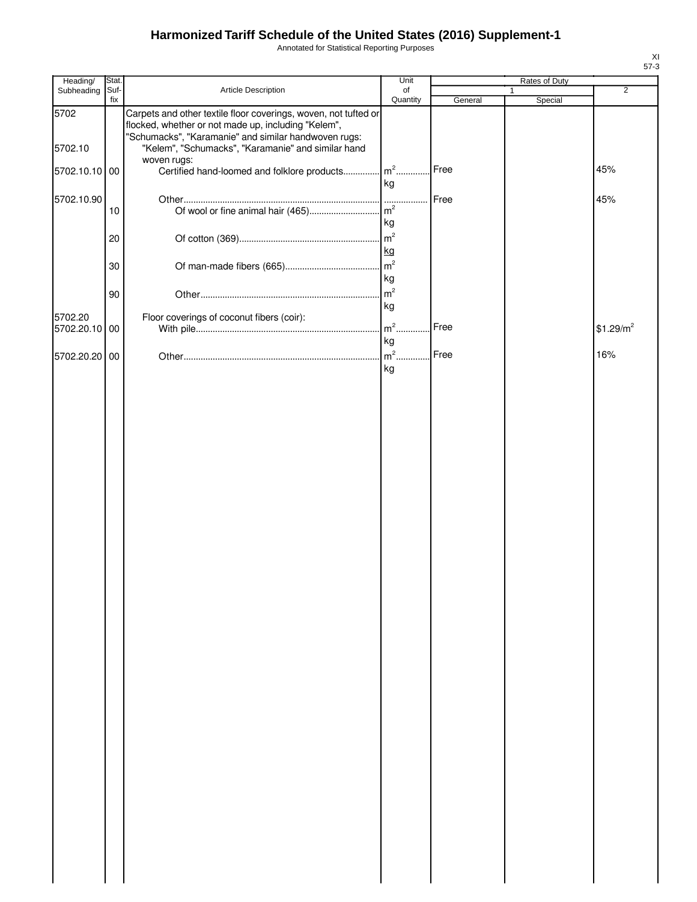Annotated for Statistical Reporting Purposes

| Heading/                 | Stat.       |                                                                                                                                                                                | Unit                 |         | Rates of Duty |                       |
|--------------------------|-------------|--------------------------------------------------------------------------------------------------------------------------------------------------------------------------------|----------------------|---------|---------------|-----------------------|
| Subheading               | Suf-<br>fix | Article Description                                                                                                                                                            | of<br>Quantity       | General | Special       | $\overline{2}$        |
| 5702                     |             | Carpets and other textile floor coverings, woven, not tufted or<br>flocked, whether or not made up, including "Kelem",<br>"Schumacks", "Karamanie" and similar handwoven rugs: |                      |         |               |                       |
| 5702.10<br>5702.10.10 00 |             | "Kelem", "Schumacks", "Karamanie" and similar hand<br>woven rugs:<br>Certified hand-loomed and folklore products                                                               | $m2$                 | Free    |               | 45%                   |
|                          |             |                                                                                                                                                                                | kg                   |         |               |                       |
| 5702.10.90               | 10          |                                                                                                                                                                                | .<br>kg              | Free    |               | 45%                   |
|                          | 20          |                                                                                                                                                                                | m <sup>2</sup><br>kg |         |               |                       |
|                          | 30          |                                                                                                                                                                                | m <sup>2</sup><br>kg |         |               |                       |
|                          | 90          |                                                                                                                                                                                | m <sup>2</sup><br>kg |         |               |                       |
| 5702.20<br>5702.20.10 00 |             | Floor coverings of coconut fibers (coir):                                                                                                                                      | $m2$ .<br>kg         | Free    |               | \$1.29/m <sup>2</sup> |
| 5702.20.20 00            |             |                                                                                                                                                                                | $m^2$<br>kg          | Free    |               | 16%                   |
|                          |             |                                                                                                                                                                                |                      |         |               |                       |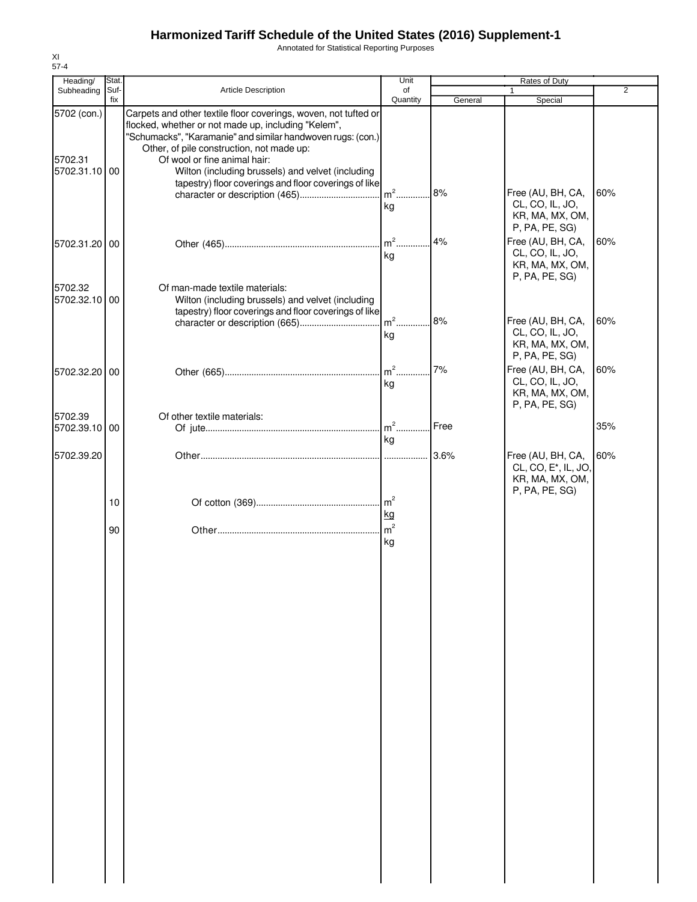Annotated for Statistical Reporting Purposes

| Heading/                                | <b>Stat</b> |                                                                                                                                                                                                                                                                                                                         | Unit                    |         | Rates of Duty                                                                              |                |
|-----------------------------------------|-------------|-------------------------------------------------------------------------------------------------------------------------------------------------------------------------------------------------------------------------------------------------------------------------------------------------------------------------|-------------------------|---------|--------------------------------------------------------------------------------------------|----------------|
| Subheading                              | Suf-<br>fix | <b>Article Description</b>                                                                                                                                                                                                                                                                                              | of<br>Quantity          | General | Special                                                                                    | $\overline{2}$ |
| 5702 (con.)<br>5702.31<br>5702.31.10 00 |             | Carpets and other textile floor coverings, woven, not tufted or<br>flocked, whether or not made up, including "Kelem",<br>"Schumacks", "Karamanie" and similar handwoven rugs: (con.)<br>Other, of pile construction, not made up:<br>Of wool or fine animal hair:<br>Wilton (including brussels) and velvet (including |                         |         |                                                                                            |                |
|                                         |             | tapestry) floor coverings and floor coverings of like                                                                                                                                                                                                                                                                   | $\mathsf{Im}^2$ .<br>kg | 8%      | Free (AU, BH, CA,<br>CL, CO, IL, JO,<br>KR, MA, MX, OM,<br>P, PA, PE, SG)                  | 60%            |
| 5702.31.20 00                           |             |                                                                                                                                                                                                                                                                                                                         | $m2$ .<br>kg            | 4%      | Free (AU, BH, CA,<br>CL, CO, IL, JO,<br>KR, MA, MX, OM,<br>P, PA, PE, SG)                  | 60%            |
| 5702.32<br>5702.32.10 00                |             | Of man-made textile materials:<br>Wilton (including brussels) and velvet (including<br>tapestry) floor coverings and floor coverings of like                                                                                                                                                                            | $m2$ .<br>kg            | 8%      | Free (AU, BH, CA,<br>CL, CO, IL, JO,                                                       | 60%            |
| 5702.32.20 00                           |             |                                                                                                                                                                                                                                                                                                                         | $m2$ .<br>kg            | 7%      | KR, MA, MX, OM,<br>P, PA, PE, SG)<br>Free (AU, BH, CA,<br>CL, CO, IL, JO,                  | 60%            |
| 5702.39<br>5702.39.10 00                |             | Of other textile materials:                                                                                                                                                                                                                                                                                             | $m2$ .                  | Free    | KR, MA, MX, OM,<br>P, PA, PE, SG)                                                          | 35%            |
|                                         |             |                                                                                                                                                                                                                                                                                                                         | kg                      |         |                                                                                            |                |
| 5702.39.20                              |             |                                                                                                                                                                                                                                                                                                                         | .                       | 3.6%    | Free (AU, BH, CA,<br>CL, CO, E <sup>*</sup> , IL, JO,<br>KR, MA, MX, OM,<br>P, PA, PE, SG) | 60%            |
|                                         | 10          |                                                                                                                                                                                                                                                                                                                         | $\mathsf{m}^2$<br>kg    |         |                                                                                            |                |
|                                         | 90          |                                                                                                                                                                                                                                                                                                                         | m <sup>2</sup><br>kg    |         |                                                                                            |                |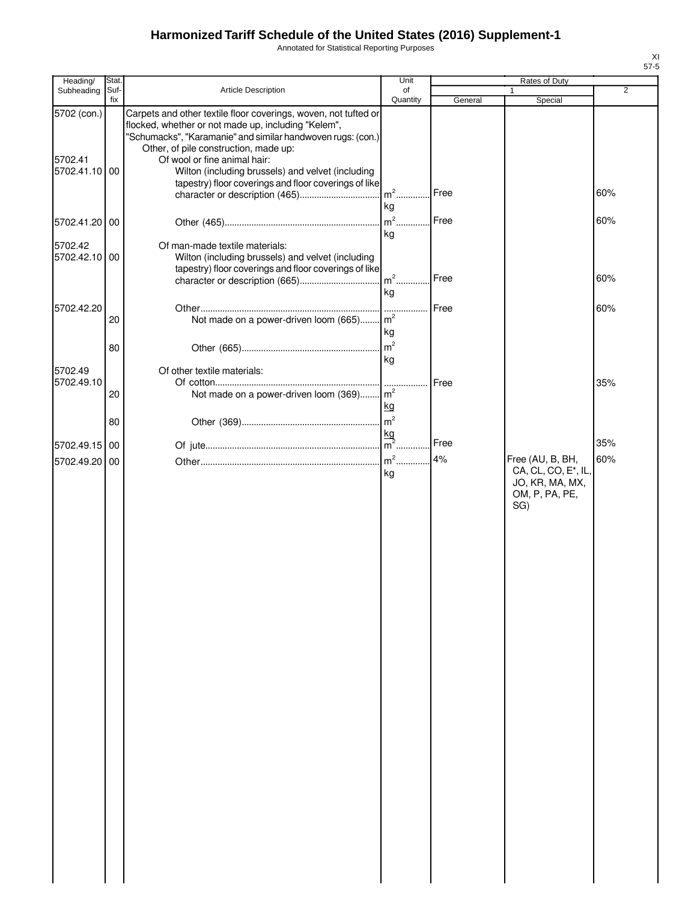Annotated for Statistical Reporting Purposes

| Heading/                                | Stat.       |                                                                                                                                                                                                                                                                                                                                                                                                                | Unit                       |         | Rates of Duty                                                                       |                |
|-----------------------------------------|-------------|----------------------------------------------------------------------------------------------------------------------------------------------------------------------------------------------------------------------------------------------------------------------------------------------------------------------------------------------------------------------------------------------------------------|----------------------------|---------|-------------------------------------------------------------------------------------|----------------|
| Subheading                              | Suf-<br>fix | Article Description                                                                                                                                                                                                                                                                                                                                                                                            | of<br>Quantity             | General | Special                                                                             | $\overline{2}$ |
| 5702 (con.)<br>5702.41<br>5702.41.10 00 |             | Carpets and other textile floor coverings, woven, not tufted or<br>flocked, whether or not made up, including "Kelem",<br>"Schumacks", "Karamanie" and similar handwoven rugs: (con.)<br>Other, of pile construction, made up:<br>Of wool or fine animal hair:<br>Wilton (including brussels) and velvet (including<br>tapestry) floor coverings and floor coverings of like<br>character or description (465) | $m2$ .                     | Free    |                                                                                     | 60%            |
| 5702.41.20 00                           |             |                                                                                                                                                                                                                                                                                                                                                                                                                | kg<br>$m2$ .               | Free    |                                                                                     | 60%            |
| 5702.42<br>5702.42.10 00                |             | Of man-made textile materials:<br>Wilton (including brussels) and velvet (including<br>tapestry) floor coverings and floor coverings of like                                                                                                                                                                                                                                                                   | kg<br>$m2$ .               | Free    |                                                                                     | 60%            |
|                                         |             |                                                                                                                                                                                                                                                                                                                                                                                                                | kg                         |         |                                                                                     |                |
| 5702.42.20                              | 20<br>80    | Not made on a power-driven loom (665) m <sup>2</sup>                                                                                                                                                                                                                                                                                                                                                           | .<br>kg<br>$\mathsf{Im}^2$ | Free    |                                                                                     | 60%            |
| 5702.49                                 |             | Of other textile materials:                                                                                                                                                                                                                                                                                                                                                                                    | kg                         |         |                                                                                     |                |
| 5702.49.10                              | 20          | Not made on a power-driven loom $(369)$ $\left  m^2 \right $                                                                                                                                                                                                                                                                                                                                                   | kg                         | Free    |                                                                                     | 35%            |
|                                         | 80          |                                                                                                                                                                                                                                                                                                                                                                                                                | m <sup>2</sup>             |         |                                                                                     |                |
| 5702.49.15 00                           |             |                                                                                                                                                                                                                                                                                                                                                                                                                | $\frac{kg}{m^2}$ .         | Free    |                                                                                     | 35%            |
| 5702.49.20 00                           |             |                                                                                                                                                                                                                                                                                                                                                                                                                | $m2$ .<br>kg               | 4%      | Free (AU, B, BH,<br>CA, CL, CO, E*, IL,<br>JO, KR, MA, MX,<br>OM, P, PA, PE,<br>SG) | 60%            |
|                                         |             |                                                                                                                                                                                                                                                                                                                                                                                                                |                            |         |                                                                                     |                |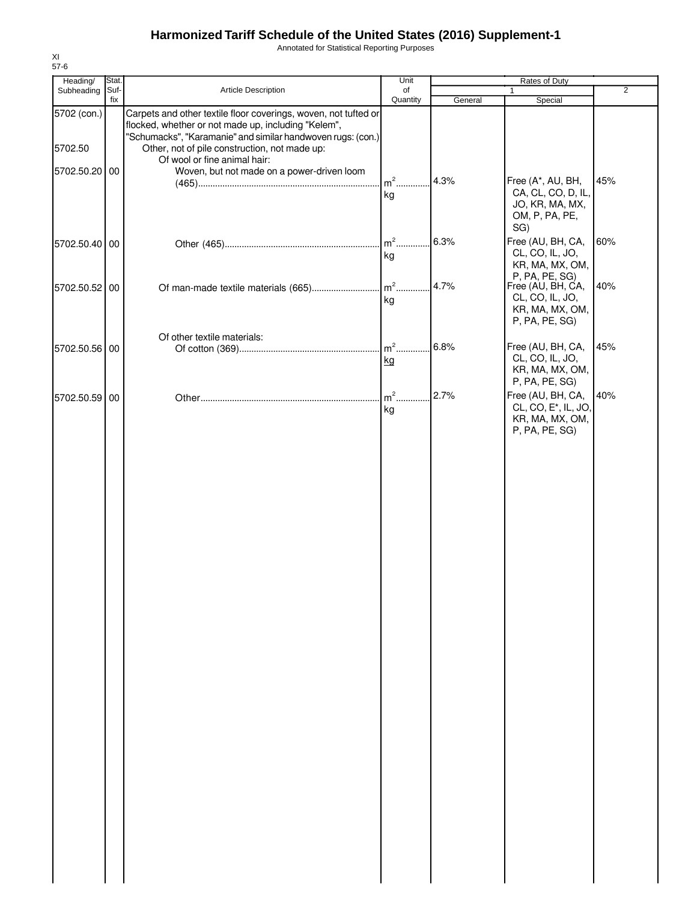Annotated for Statistical Reporting Purposes

| Heading/      | Stat.       |                                                                                                                                                                                       | Unit           |         | Rates of Duty                                                             |                |
|---------------|-------------|---------------------------------------------------------------------------------------------------------------------------------------------------------------------------------------|----------------|---------|---------------------------------------------------------------------------|----------------|
| Subheading    | Suf-<br>fix | Article Description                                                                                                                                                                   | of<br>Quantity | General | 1<br>Special                                                              | $\overline{2}$ |
| 5702 (con.)   |             | Carpets and other textile floor coverings, woven, not tufted or<br>flocked, whether or not made up, including "Kelem",<br>"Schumacks", "Karamanie" and similar handwoven rugs: (con.) |                |         |                                                                           |                |
| 5702.50       |             | Other, not of pile construction, not made up:<br>Of wool or fine animal hair:                                                                                                         |                |         |                                                                           |                |
| 5702.50.20 00 |             | Woven, but not made on a power-driven loom                                                                                                                                            | $m2$ .         | 4.3%    | Free (A*, AU, BH,                                                         | 45%            |
|               |             |                                                                                                                                                                                       | kg             |         | CA, CL, CO, D, IL,<br>JO, KR, MA, MX,<br>OM, P, PA, PE,<br>SG)            |                |
| 5702.50.40 00 |             |                                                                                                                                                                                       | $m2$ .<br>kg   | 6.3%    | Free (AU, BH, CA,<br>CL, CO, IL, JO,<br>KR, MA, MX, OM,<br>P, PA, PE, SG) | 60%            |
| 5702.50.52 00 |             |                                                                                                                                                                                       | kg             | 4.7%    | Free (AU, BH, CA,<br>CL, CO, IL, JO,<br>KR, MA, MX, OM,                   | 40%            |
|               |             | Of other textile materials:                                                                                                                                                           |                |         | P, PA, PE, SG)                                                            |                |
| 5702.50.56 00 |             |                                                                                                                                                                                       | $m2$ .<br>kg   | 6.8%    | Free (AU, BH, CA,<br>CL, CO, IL, JO,<br>KR, MA, MX, OM,<br>P, PA, PE, SG) | 45%            |
| 5702.50.59    | 00          |                                                                                                                                                                                       | $m2$ .<br>kg   | 2.7%    | Free (AU, BH, CA,<br>CL, CO, E <sup>*</sup> , IL, JO,                     | 40%            |
|               |             |                                                                                                                                                                                       |                |         | KR, MA, MX, OM,<br>P, PA, PE, SG)                                         |                |
|               |             |                                                                                                                                                                                       |                |         |                                                                           |                |
|               |             |                                                                                                                                                                                       |                |         |                                                                           |                |
|               |             |                                                                                                                                                                                       |                |         |                                                                           |                |
|               |             |                                                                                                                                                                                       |                |         |                                                                           |                |
|               |             |                                                                                                                                                                                       |                |         |                                                                           |                |
|               |             |                                                                                                                                                                                       |                |         |                                                                           |                |
|               |             |                                                                                                                                                                                       |                |         |                                                                           |                |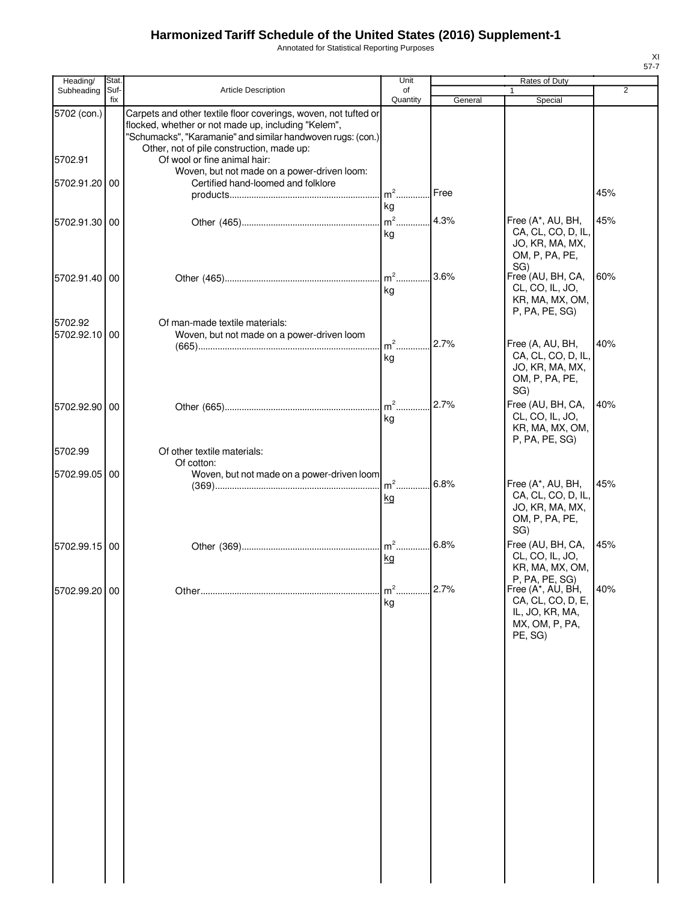Annotated for Statistical Reporting Purposes

| ۰, |  |
|----|--|

| Heading/                 | Stat.       |                                                                                                                                                                                                                                                                                                                   | Unit                |         | Rates of Duty                                                                                                         |                |
|--------------------------|-------------|-------------------------------------------------------------------------------------------------------------------------------------------------------------------------------------------------------------------------------------------------------------------------------------------------------------------|---------------------|---------|-----------------------------------------------------------------------------------------------------------------------|----------------|
| Subheading               | Suf-<br>fix | Article Description                                                                                                                                                                                                                                                                                               | of<br>Quantity      | General | 1<br>Special                                                                                                          | $\overline{2}$ |
| 5702 (con.)<br>5702.91   |             | Carpets and other textile floor coverings, woven, not tufted or<br>flocked, whether or not made up, including "Kelem",<br>"Schumacks", "Karamanie" and similar handwoven rugs: (con.)<br>Other, not of pile construction, made up:<br>Of wool or fine animal hair:<br>Woven, but not made on a power-driven loom: |                     |         |                                                                                                                       |                |
| 5702.91.20               | 00          | Certified hand-loomed and folklore                                                                                                                                                                                                                                                                                | $m2$<br>kg          | Free    |                                                                                                                       | 45%            |
| 5702.91.30 00            |             |                                                                                                                                                                                                                                                                                                                   | $m2$<br>kg          | 4.3%    | Free (A*, AU, BH,<br>CA, CL, CO, D, IL,<br>JO, KR, MA, MX,<br>OM, P, PA, PE,                                          | 45%            |
| 5702.91.40 00            |             |                                                                                                                                                                                                                                                                                                                   | $m2$ .<br>kg        | 3.6%    | SG)<br>Free <sup>'</sup> (AU, BH, CA,<br>CL, CO, IL, JO,<br>KR, MA, MX, OM,<br>P, PA, PE, SG)                         | 60%            |
| 5702.92<br>5702.92.10 00 |             | Of man-made textile materials:<br>Woven, but not made on a power-driven loom                                                                                                                                                                                                                                      | $m2$<br>kg          | 2.7%    | Free (A, AU, BH,<br>CA, CL, CO, D, IL,<br>JO, KR, MA, MX,<br>OM, P, PA, PE,                                           | 40%            |
| 5702.92.90 00            |             |                                                                                                                                                                                                                                                                                                                   | $m2$<br>kg          | 2.7%    | SG)<br>Free (AU, BH, CA,<br>CL, CO, IL, JO,<br>KR, MA, MX, OM,<br>P, PA, PE, SG)                                      | 40%            |
| 5702.99                  |             | Of other textile materials:                                                                                                                                                                                                                                                                                       |                     |         |                                                                                                                       |                |
| 5702.99.05               | 00          | Of cotton:<br>Woven, but not made on a power-driven loom                                                                                                                                                                                                                                                          | $m2$ .<br><u>kg</u> | 6.8%    | Free (A*, AU, BH,<br>CA, CL, CO, D, IL,<br>JO, KR, MA, MX,<br>OM, P, PA, PE,                                          | 45%            |
| 5702.99.15 00            |             |                                                                                                                                                                                                                                                                                                                   | $m2$ .<br>kg        | 6.8%    | SG)<br>Free (AU, BH, CA,<br>CL, CO, IL, JO,<br>KR, MA, MX, OM,                                                        | 45%            |
| 5702.99.20 00            |             |                                                                                                                                                                                                                                                                                                                   | $m2$<br>kg          | 2.7%    | P, PA, PE, SG)<br>Free (A <sup>*</sup> , AU, BH,<br>CA, CL, CO, D, E,<br>IL, JO, KR, MA,<br>MX, OM, P, PA,<br>PE, SG) | 40%            |
|                          |             |                                                                                                                                                                                                                                                                                                                   |                     |         |                                                                                                                       |                |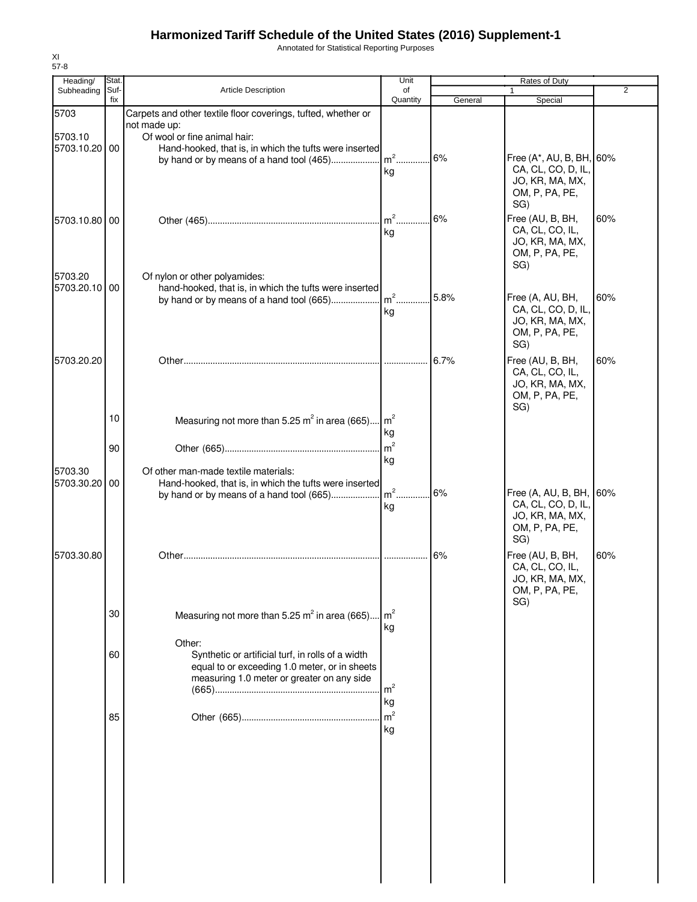Annotated for Statistical Reporting Purposes

| Heading/<br>Subheading   | Stat.<br>Suf- | <b>Article Description</b>                                                                                                                       | Unit<br>of              |         | <b>Rates of Duty</b>                                                                      | 2   |
|--------------------------|---------------|--------------------------------------------------------------------------------------------------------------------------------------------------|-------------------------|---------|-------------------------------------------------------------------------------------------|-----|
|                          | fix           |                                                                                                                                                  | Quantity                | General | Special                                                                                   |     |
| 5703<br>5703.10          |               | Carpets and other textile floor coverings, tufted, whether or<br>not made up:<br>Of wool or fine animal hair:                                    |                         |         |                                                                                           |     |
| 5703.10.20 00            |               | Hand-hooked, that is, in which the tufts were inserted                                                                                           | kg                      | 6%      | Free (A*, AU, B, BH, 60%<br>CA, CL, CO, D, IL,<br>JO, KR, MA, MX,<br>OM, P, PA, PE,       |     |
| 5703.10.80 00            |               |                                                                                                                                                  | $m^2$<br>kg             | 6%      | SG)<br>Free (AU, B, BH,<br>CA, CL, CO, IL,<br>JO, KR, MA, MX,<br>OM, P, PA, PE,<br>SG)    | 60% |
| 5703.20<br>5703.20.10 00 |               | Of nylon or other polyamides:<br>hand-hooked, that is, in which the tufts were inserted<br>by hand or by means of a hand tool (665)              | $\mathsf{Im}^2$ .<br>kg | 5.8%    | Free (A, AU, BH,<br>CA, CL, CO, D, IL,<br>JO, KR, MA, MX,<br>OM, P, PA, PE,<br>SG)        | 60% |
| 5703.20.20               |               |                                                                                                                                                  |                         | 6.7%    | Free (AU, B, BH,<br>CA, CL, CO, IL,<br>JO, KR, MA, MX,<br>OM, P, PA, PE,<br>SG)           | 60% |
|                          | 10            | Measuring not more than 5.25 $m^2$ in area (665) $m^2$                                                                                           | kg                      |         |                                                                                           |     |
| 5703.30                  | 90            | Of other man-made textile materials:                                                                                                             | m <sup>2</sup><br>kg    |         |                                                                                           |     |
| 5703.30.20 00            |               | Hand-hooked, that is, in which the tufts were inserted<br>by hand or by means of a hand tool (665)                                               | $\mathsf{Im}^2$ .<br>kg | 6%      | Free (A, AU, B, BH, 60%<br>CA, CL, CO, D, IL,<br>JO, KR, MA, MX,<br>OM, P, PA, PE,<br>SG) |     |
| 5703.30.80               |               |                                                                                                                                                  |                         | 6%      | Free (AU, B, BH,<br>CA, CL, CO, IL,<br>JO, KR, MA, MX,<br>OM, P, PA, PE,<br>SG)           | 60% |
|                          | 30            | Measuring not more than 5.25 $m^2$ in area (665)<br>Other:                                                                                       | $\mathsf{Im}^2$<br>kg   |         |                                                                                           |     |
|                          | 60            | Synthetic or artificial turf, in rolls of a width<br>equal to or exceeding 1.0 meter, or in sheets<br>measuring 1.0 meter or greater on any side | $\mathsf{Im}^2$<br>kg   |         |                                                                                           |     |
|                          | 85            |                                                                                                                                                  | m <sup>2</sup><br>kg    |         |                                                                                           |     |

XI